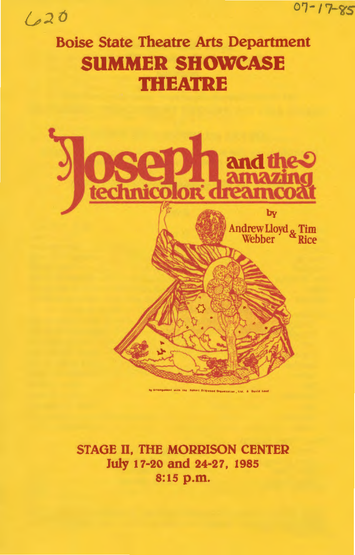0'1-17-zs

# $620$

# Boise State Theatre Arts Department **SUMMER SHOWCASE THEATRE**



STAGE II, THE MORRISON CENTER July 17-20 and 24-27, 1985 8:15 p.m.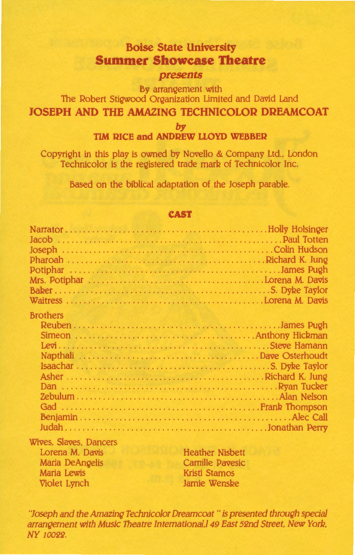# **Boise State University Summer Showcase Theatre**  *presents*

By arrangement with The Robert Stigwood Organization Limited and David Land **JOSEPH AND THE AMAZING TECHNICOLOR DREAMCOAT** 

*by* 

# **TIM RICE and ANDREW LLOYD WEBBER**

Copyright in this play is owned by Novello & Company Ltd., London Technicolor is the registered trade mark of Technicolor Inc.

Based on the biblical adaptation of the Joseph parable.

#### **CAST**

| <b>Brothers</b>        |
|------------------------|
|                        |
|                        |
|                        |
|                        |
|                        |
|                        |
|                        |
|                        |
|                        |
|                        |
|                        |
| Wives. Slaves. Dancers |

Lorena M. Davis Maria DeAngelis Maria Lewis Violet Lynch

Heather Nisbett Camille Pavesic Kristi Stamos Jamie Wenske

"Joseph and the Amazing Technicolor Dreamcoat" is presented through special arrangement with Music Theatre International, I 49 East 52nd Street, New York. NY 10022.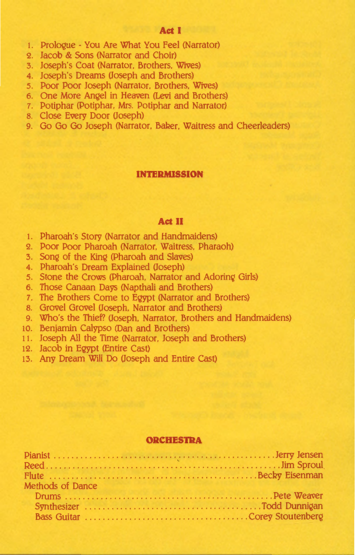# **Act I**

- 1. Prologue You Are What You Feel (Narrator)
- 2. Jacob & Sons (Narrator and Choir)
- 3. Joseph's Coat (Narrator, Brothers. Wives)
- 4. Joseph's Dreams (Joseph and Brothers)
- 5. Poor Poor Joseph (Narrator. Brothers. Wives)
- 6. One More Angel in Heaven (Levi and Brothers)
- 7. Potiphar (Potiphar. Mrs. Potiphar and Narrator)
- 8. Close Every Door (Joseph)
- 9. Go Go Go Joseph (Narrator, Baker, Waitress and Cheerleaders)

#### **INTERMISSION**

#### **Act II**

- 1. Pharoah's Story (Narrator and Handmaidens)
- 2. Poor Poor Pharoah (Narrator. Waitress. Pharaoh)
- 3. Song of the King (Pharoah and Slaves)
- 4. Pharoah's Dream Explained (Joseph)
- 5. Stone the Crows (Pharoah, Narrator and Adoring Girls)
- 6. Those Canaan Days (Napthali and Brothers)
- 7. The Brothers Come to Egypt (Narrator and Brothers)
- 8. Grovel Grovel (Joseph, Narrator and Brothers)
- 9. Who's the Thief? (Joseph, Narrator. Brothers and Handmaidens)
- 10. Benjamin Calypso (Dan and Brothers)
- 11. Joseph All the Time (Narrator. Joseph and Brothers)
- 12. Jacob in Egypt (Entire Cast)
- 13. Any Dream Will Do (Joseph and Entire Cast)

#### **ORCHESTRA**

| Methods of Dance |  |
|------------------|--|
|                  |  |
|                  |  |
|                  |  |